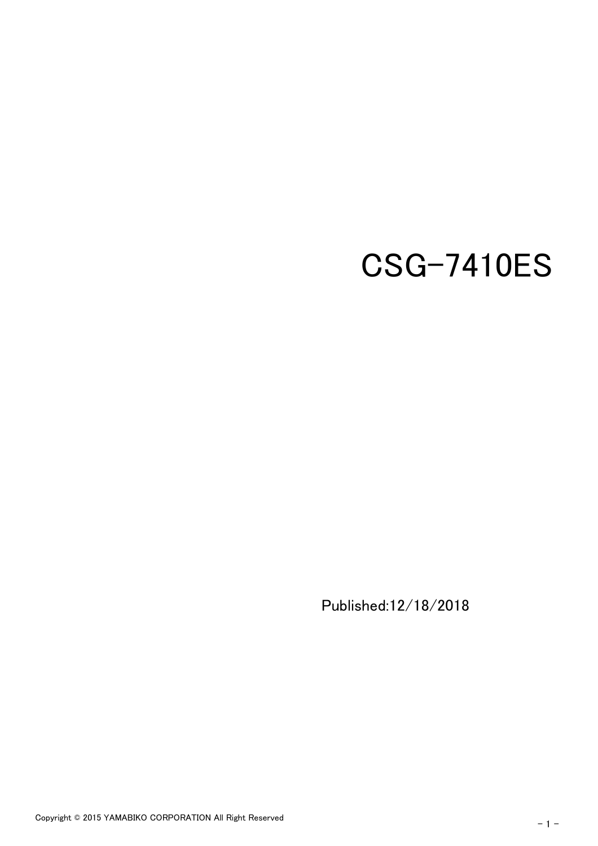# CSG-7410ES

Published:12/18/2018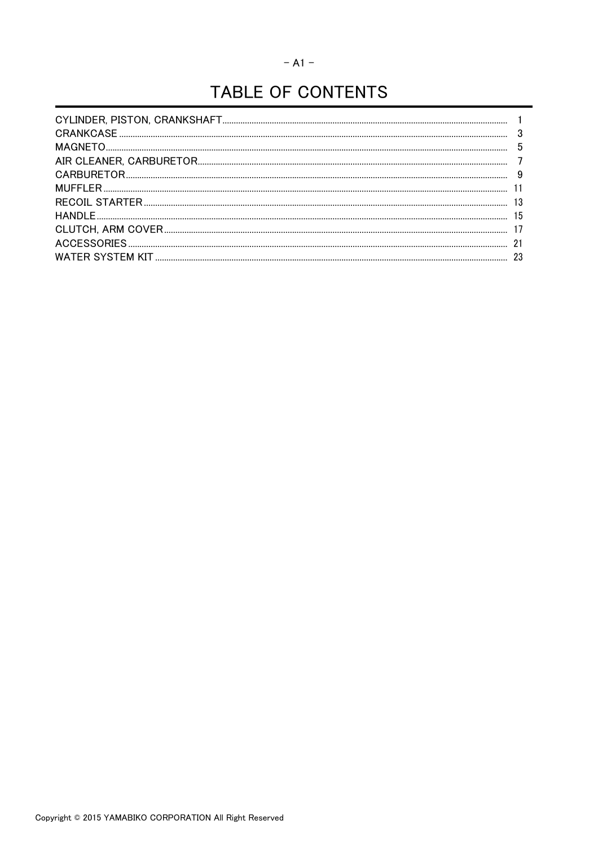# TABLE OF CONTENTS

| 5  |
|----|
|    |
|    |
|    |
| 13 |
| 15 |
|    |
| 21 |
| 23 |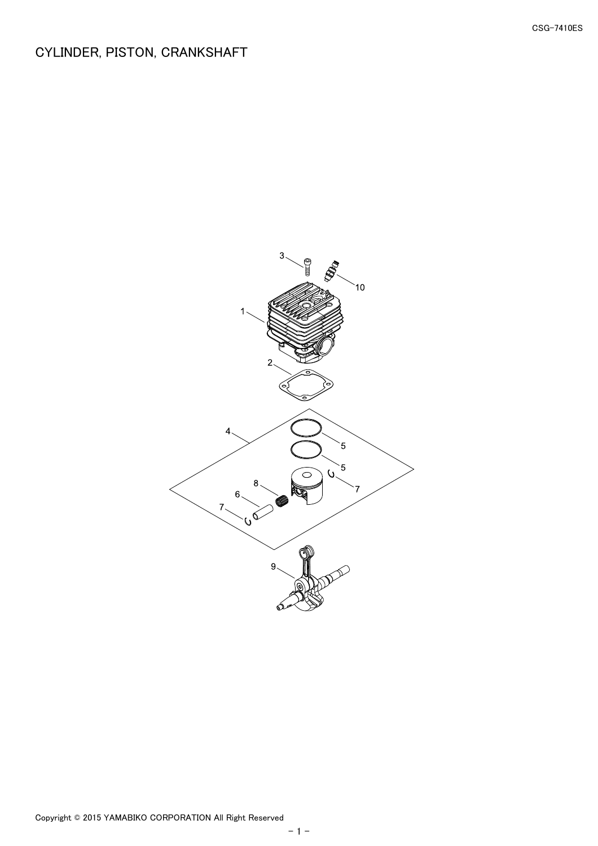# <span id="page-2-0"></span>CYLINDER, PISTON, CRANKSHAFT

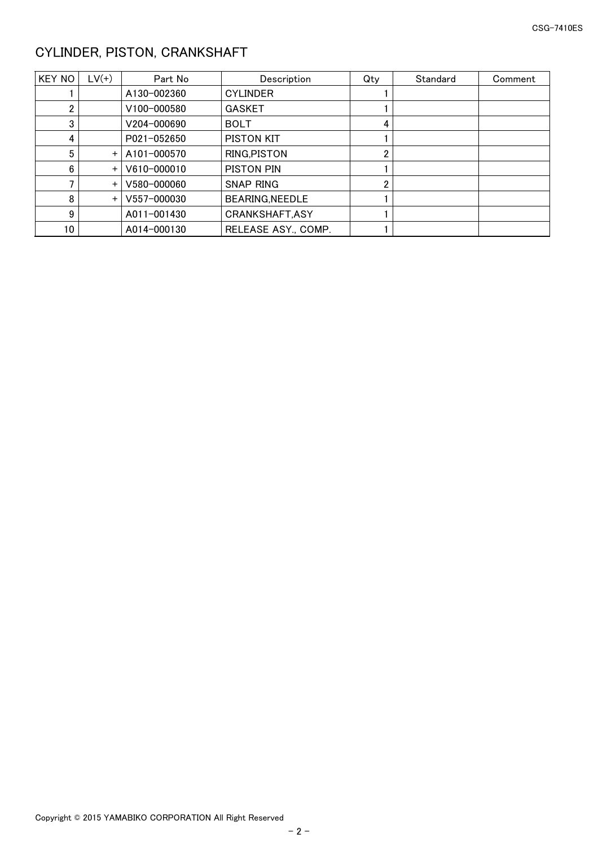# <span id="page-3-0"></span>CYLINDER, PISTON, CRANKSHAFT

| KEY NO | $LV(+)$ | Part No     | Description            | Qty | Standard | Comment |
|--------|---------|-------------|------------------------|-----|----------|---------|
|        |         | A130-002360 | <b>CYLINDER</b>        |     |          |         |
|        |         | V100-000580 | <b>GASKET</b>          |     |          |         |
| 3      |         | V204-000690 | <b>BOLT</b>            | 4   |          |         |
| 4      |         | P021-052650 | PISTON KIT             |     |          |         |
| 5      | $+$     | A101-000570 | RING, PISTON           | ∩   |          |         |
| 6      | $+$     | V610-000010 | PISTON PIN             |     |          |         |
|        | $+$     | V580-000060 | <b>SNAP RING</b>       |     |          |         |
| 8      | $+$     | V557-000030 | <b>BEARING, NEEDLE</b> |     |          |         |
| 9      |         | A011-001430 | CRANKSHAFT, ASY        |     |          |         |
| 10     |         | A014-000130 | RELEASE ASY., COMP.    |     |          |         |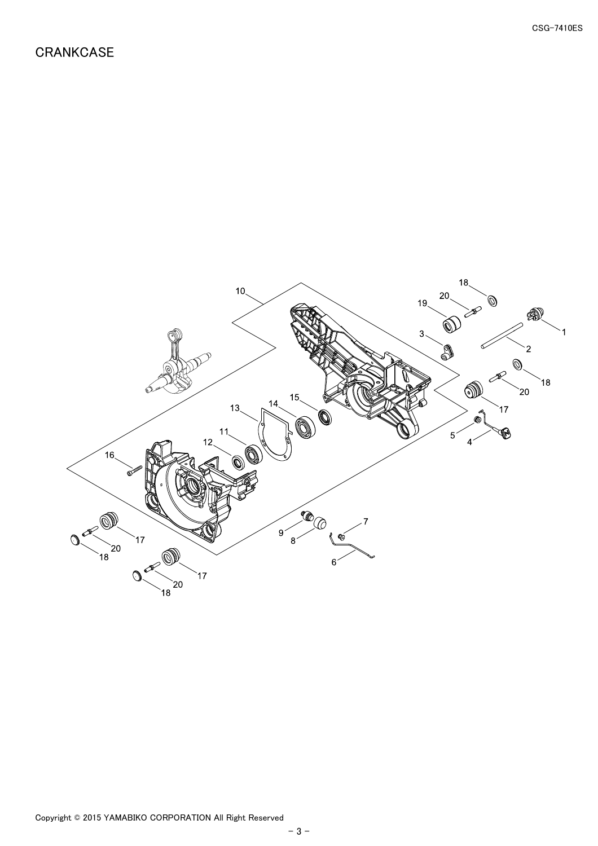## <span id="page-4-0"></span>**CRANKCASE**

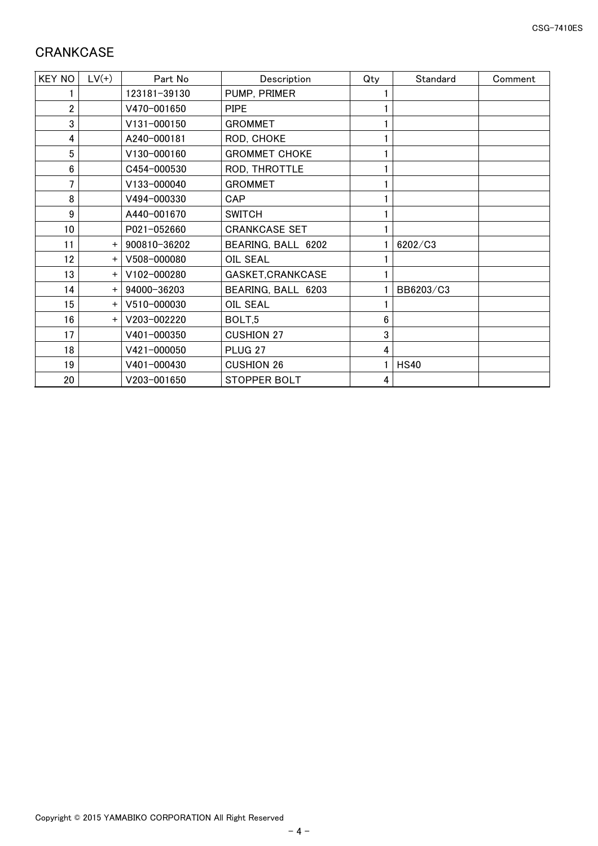# <span id="page-5-0"></span>**CRANKCASE**

| <b>KEY NO</b> | $LV(+)$   | Part No      | Description          | Qty | Standard    | Comment |
|---------------|-----------|--------------|----------------------|-----|-------------|---------|
|               |           | 123181-39130 | PUMP, PRIMER         |     |             |         |
| 2             |           | V470-001650  | <b>PIPE</b>          |     |             |         |
| 3             |           | V131-000150  | <b>GROMMET</b>       |     |             |         |
| 4             |           | A240-000181  | ROD, CHOKE           |     |             |         |
| 5             |           | V130-000160  | <b>GROMMET CHOKE</b> |     |             |         |
| 6             |           | C454-000530  | ROD, THROTTLE        |     |             |         |
| 7             |           | V133-000040  | <b>GROMMET</b>       |     |             |         |
| 8             |           | V494-000330  | CAP                  |     |             |         |
| 9             |           | A440-001670  | <b>SWITCH</b>        |     |             |         |
| 10            |           | P021-052660  | <b>CRANKCASE SET</b> |     |             |         |
| 11            | $+$       | 900810-36202 | BEARING, BALL 6202   |     | 6202/C3     |         |
| 12            | $\ddot{}$ | V508-000080  | OIL SEAL             |     |             |         |
| 13            | $+$       | V102-000280  | GASKET, CRANKCASE    |     |             |         |
| 14            | $\ddot{}$ | 94000-36203  | BEARING, BALL 6203   |     | BB6203/C3   |         |
| 15            | $+$       | V510-000030  | <b>OIL SEAL</b>      |     |             |         |
| 16            | $\ddot{}$ | V203-002220  | BOLT,5               | 6   |             |         |
| 17            |           | V401-000350  | <b>CUSHION 27</b>    | 3   |             |         |
| 18            |           | V421-000050  | PLUG <sub>27</sub>   | 4   |             |         |
| 19            |           | V401-000430  | <b>CUSHION 26</b>    |     | <b>HS40</b> |         |
| 20            |           | V203-001650  | <b>STOPPER BOLT</b>  | 4   |             |         |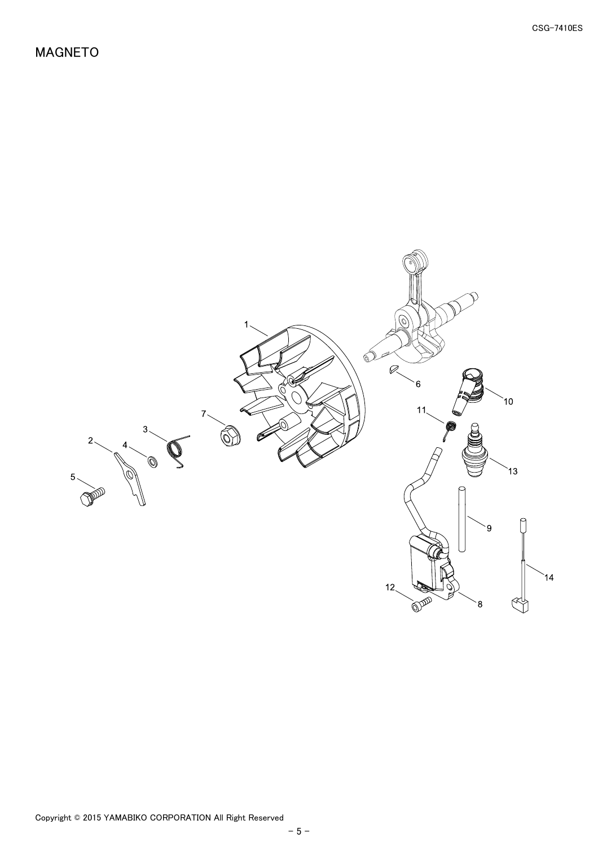<span id="page-6-0"></span>MAGNETO

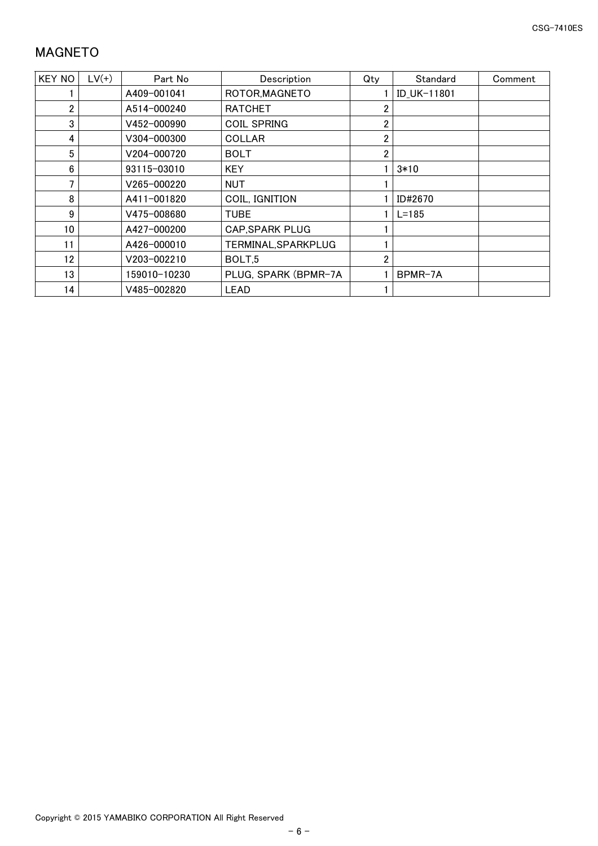# <span id="page-7-0"></span>MAGNETO

| <b>KEY NO</b>   | $LV(+)$ | Part No      | Description            | Qty            | Standard    | Comment |
|-----------------|---------|--------------|------------------------|----------------|-------------|---------|
|                 |         | A409-001041  | ROTOR, MAGNETO         |                | ID_UK-11801 |         |
| 2               |         | A514-000240  | <b>RATCHET</b>         |                |             |         |
| 3               |         | V452-000990  | <b>COIL SPRING</b>     |                |             |         |
| 4               |         | V304-000300  | <b>COLLAR</b>          | 2              |             |         |
| 5               |         | V204-000720  | <b>BOLT</b>            | 2              |             |         |
| 6               |         | 93115-03010  | <b>KEY</b>             |                | $3*10$      |         |
|                 |         | V265-000220  | <b>NUT</b>             |                |             |         |
| 8               |         | A411-001820  | COIL, IGNITION         |                | ID#2670     |         |
| 9               |         | V475-008680  | <b>TUBE</b>            |                | $L = 185$   |         |
| 10 <sup>°</sup> |         | A427-000200  | <b>CAP, SPARK PLUG</b> |                |             |         |
| 11              |         | A426-000010  | TERMINAL, SPARKPLUG    |                |             |         |
| 12              |         | V203-002210  | BOLT <sub>.5</sub>     | $\overline{2}$ |             |         |
| 13              |         | 159010-10230 | PLUG, SPARK (BPMR-7A   |                | BPMR-7A     |         |
| 14              |         | V485-002820  | LEAD                   |                |             |         |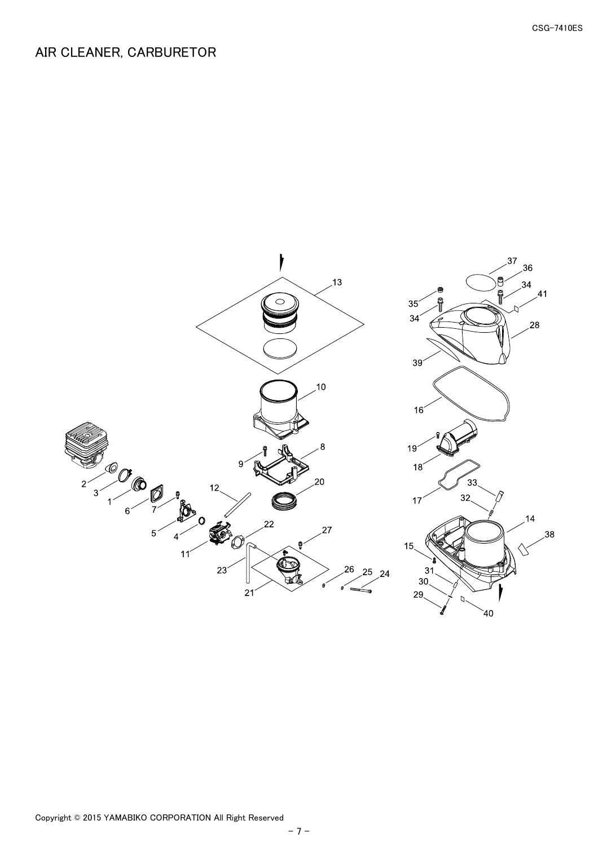#### <span id="page-8-0"></span>AIR CLEANER, CARBURETOR

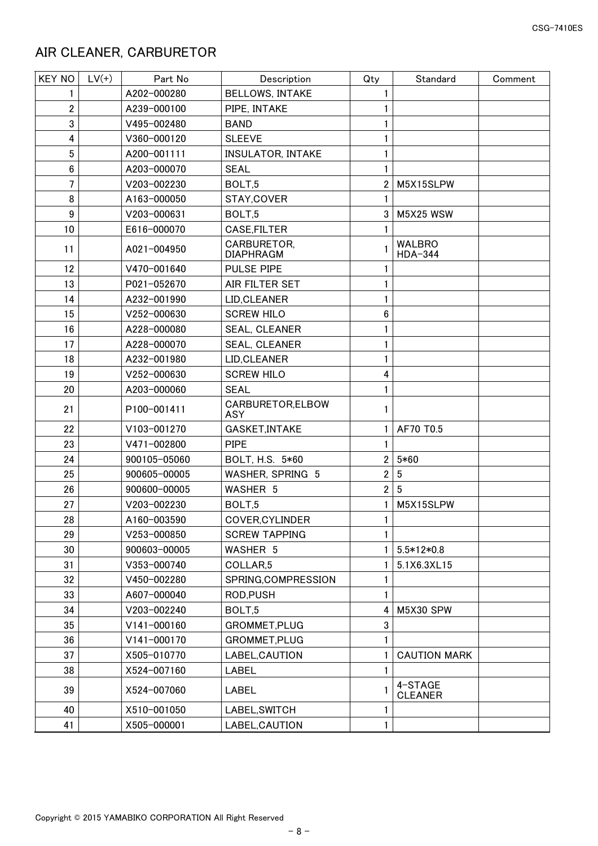#### <span id="page-9-0"></span>AIR CLEANER, CARBURETOR

| <b>KEY NO</b>  | $LV(+)$ | Part No      | Description                     | Qty            | Standard                  | Comment |
|----------------|---------|--------------|---------------------------------|----------------|---------------------------|---------|
| 1              |         | A202-000280  | <b>BELLOWS, INTAKE</b>          |                |                           |         |
| $\overline{2}$ |         | A239-000100  | PIPE, INTAKE                    |                |                           |         |
| 3              |         | V495-002480  | <b>BAND</b>                     |                |                           |         |
| 4              |         | V360-000120  | <b>SLEEVE</b>                   |                |                           |         |
| 5              |         | A200-001111  | <b>INSULATOR, INTAKE</b>        |                |                           |         |
| 6              |         | A203-000070  | <b>SEAL</b>                     |                |                           |         |
| 7              |         | V203-002230  | BOLT,5                          | $\overline{2}$ | M5X15SLPW                 |         |
| 8              |         | A163-000050  | STAY, COVER                     |                |                           |         |
| 9              |         | V203-000631  | BOLT,5                          | 3              | <b>M5X25 WSW</b>          |         |
| 10             |         | E616-000070  | CASE, FILTER                    | 1.             |                           |         |
| 11             |         | A021-004950  | CARBURETOR,<br><b>DIAPHRAGM</b> |                | <b>WALBRO</b><br>HDA-344  |         |
| 12             |         | V470-001640  | PULSE PIPE                      |                |                           |         |
| 13             |         | P021-052670  | AIR FILTER SET                  |                |                           |         |
| 14             |         | A232-001990  | LID, CLEANER                    |                |                           |         |
| 15             |         | V252-000630  | <b>SCREW HILO</b>               | 6              |                           |         |
| 16             |         | A228-000080  | SEAL, CLEANER                   |                |                           |         |
| 17             |         | A228-000070  | SEAL, CLEANER                   |                |                           |         |
| 18             |         | A232-001980  | LID, CLEANER                    |                |                           |         |
| 19             |         | V252-000630  | <b>SCREW HILO</b>               | 4              |                           |         |
| 20             |         | A203-000060  | <b>SEAL</b>                     |                |                           |         |
| 21             |         | P100-001411  | CARBURETOR, ELBOW<br>ASY        | 1.             |                           |         |
| 22             |         | V103-001270  | GASKET, INTAKE                  | 1.             | AF70 T0.5                 |         |
| 23             |         | V471-002800  | <b>PIPE</b>                     | 1              |                           |         |
| 24             |         | 900105-05060 | BOLT, H.S. 5*60                 | 2              | $5*60$                    |         |
| 25             |         | 900605-00005 | WASHER, SPRING 5                | $\overline{2}$ | $5\phantom{.0}$           |         |
| 26             |         | 900600-00005 | WASHER 5                        | $\overline{2}$ | 5                         |         |
| 27             |         | V203-002230  | BOLT,5                          |                | M5X15SLPW                 |         |
| 28             |         | A160-003590  | COVER, CYLINDER                 | $\mathbf{1}$   |                           |         |
| 29             |         | V253-000850  | <b>SCREW TAPPING</b>            | 1              |                           |         |
| 30             |         | 900603-00005 | WASHER 5                        |                | $5.5*12*0.8$              |         |
| 31             |         | V353-000740  | COLLAR <sub>5</sub>             |                | 5.1X6.3XL15               |         |
| 32             |         | V450-002280  | SPRING, COMPRESSION             |                |                           |         |
| 33             |         | A607-000040  | ROD, PUSH                       |                |                           |         |
| 34             |         | V203-002240  | BOLT,5                          | 4              | M5X30 SPW                 |         |
| 35             |         | V141-000160  | GROMMET, PLUG                   | 3              |                           |         |
| 36             |         | V141-000170  | GROMMET, PLUG                   |                |                           |         |
| 37             |         | X505-010770  | LABEL, CAUTION                  |                | <b>CAUTION MARK</b>       |         |
| 38             |         | X524-007160  | LABEL                           | 1              |                           |         |
| 39             |         | X524-007060  | LABEL                           |                | 4-STAGE<br><b>CLEANER</b> |         |
| 40             |         | X510-001050  | LABEL, SWITCH                   |                |                           |         |
| 41             |         | X505-000001  | LABEL, CAUTION                  | 1              |                           |         |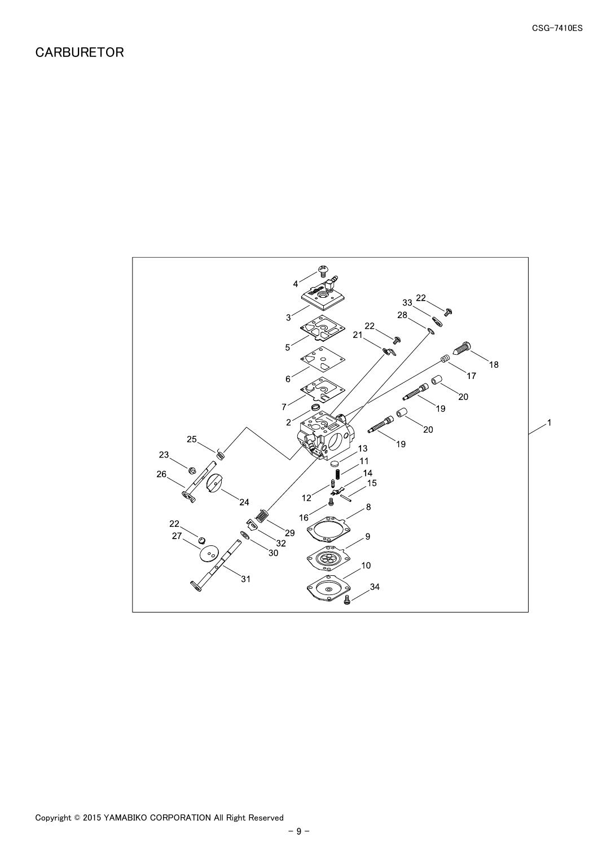<span id="page-10-0"></span>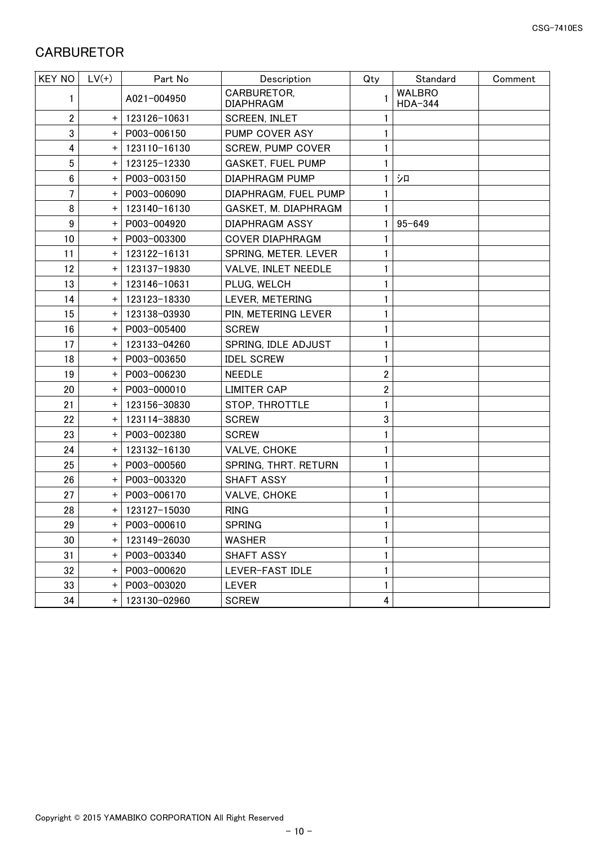## <span id="page-11-0"></span>**CARBURETOR**

| <b>KEY NO</b>    | $LV(+)$   | Part No      | Description                     | Qty | Standard                 | Comment |
|------------------|-----------|--------------|---------------------------------|-----|--------------------------|---------|
| 1                |           | A021-004950  | CARBURETOR,<br><b>DIAPHRAGM</b> |     | <b>WALBRO</b><br>HDA-344 |         |
| $\overline{2}$   | $\ddot{}$ | 123126-10631 | <b>SCREEN, INLET</b>            |     |                          |         |
| 3                | $\ddot{}$ | P003-006150  | PUMP COVER ASY                  |     |                          |         |
| 4                | $\ddot{}$ | 123110-16130 | <b>SCREW, PUMP COVER</b>        |     |                          |         |
| 5                | $\ddot{}$ | 123125-12330 | <b>GASKET, FUEL PUMP</b>        |     |                          |         |
| $6\phantom{.}$   | $\ddot{}$ | P003-003150  | <b>DIAPHRAGM PUMP</b>           |     | シロ                       |         |
| 7                | $\ddot{}$ | P003-006090  | DIAPHRAGM, FUEL PUMP            |     |                          |         |
| 8                | $\ddot{}$ | 123140-16130 | GASKET, M. DIAPHRAGM            |     |                          |         |
| $\boldsymbol{9}$ | $\ddot{}$ | P003-004920  | DIAPHRAGM ASSY                  |     | $95 - 649$               |         |
| 10               | $\ddot{}$ | P003-003300  | <b>COVER DIAPHRAGM</b>          |     |                          |         |
| 11               | $\ddot{}$ | 123122-16131 | SPRING, METER. LEVER            |     |                          |         |
| 12               | $\ddot{}$ | 123137-19830 | VALVE, INLET NEEDLE             |     |                          |         |
| 13               | $\ddot{}$ | 123146-10631 | PLUG, WELCH                     |     |                          |         |
| 14               | $\ddot{}$ | 123123-18330 | LEVER, METERING                 |     |                          |         |
| 15               | $\ddot{}$ | 123138-03930 | PIN, METERING LEVER             |     |                          |         |
| 16               | $\ddot{}$ | P003-005400  | <b>SCREW</b>                    |     |                          |         |
| 17               | $\ddot{}$ | 123133-04260 | SPRING, IDLE ADJUST             |     |                          |         |
| 18               | $\ddot{}$ | P003-003650  | <b>IDEL SCREW</b>               |     |                          |         |
| 19               | $\ddot{}$ | P003-006230  | <b>NEEDLE</b>                   | 2   |                          |         |
| 20               | $\ddot{}$ | P003-000010  | <b>LIMITER CAP</b>              | 2   |                          |         |
| 21               | $\ddot{}$ | 123156-30830 | STOP, THROTTLE                  |     |                          |         |
| 22               | $\ddot{}$ | 123114-38830 | <b>SCREW</b>                    | 3   |                          |         |
| 23               | $\ddot{}$ | P003-002380  | <b>SCREW</b>                    |     |                          |         |
| 24               | $\ddot{}$ | 123132-16130 | VALVE, CHOKE                    |     |                          |         |
| 25               | $\ddot{}$ | P003-000560  | SPRING, THRT. RETURN            |     |                          |         |
| 26               | $\ddot{}$ | P003-003320  | <b>SHAFT ASSY</b>               |     |                          |         |
| 27               | $\ddot{}$ | P003-006170  | VALVE, CHOKE                    |     |                          |         |
| 28               | $\ddot{}$ | 123127-15030 | <b>RING</b>                     |     |                          |         |
| 29               | +         | P003-000610  | <b>SPRING</b>                   |     |                          |         |
| 30               | $\pm$     | 123149-26030 | <b>WASHER</b>                   | 1   |                          |         |
| 31               | $\ddot{}$ | P003-003340  | SHAFT ASSY                      |     |                          |         |
| 32               | $\pm$     | P003-000620  | LEVER-FAST IDLE                 |     |                          |         |
| 33               | $\ddot{}$ | P003-003020  | <b>LEVER</b>                    |     |                          |         |
| 34               | $\pm$     | 123130-02960 | <b>SCREW</b>                    | 4   |                          |         |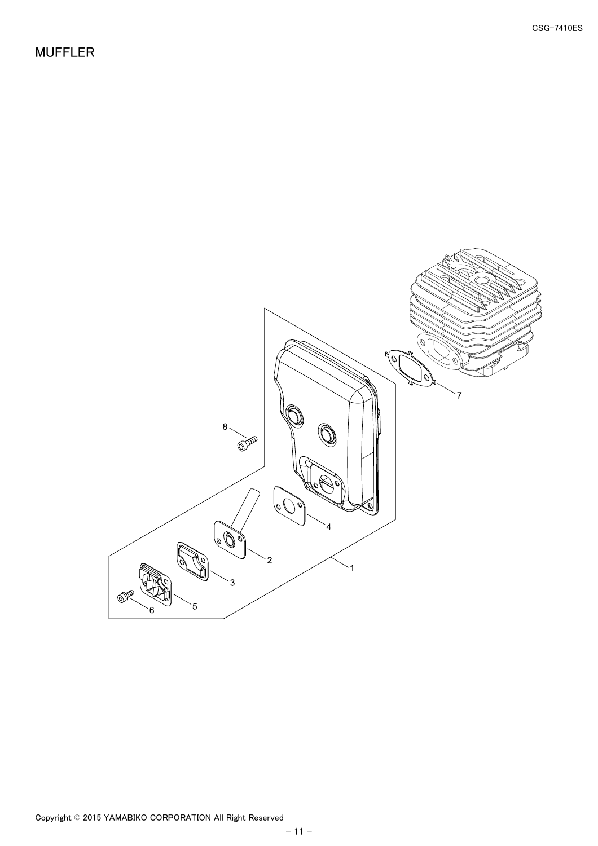<span id="page-12-0"></span>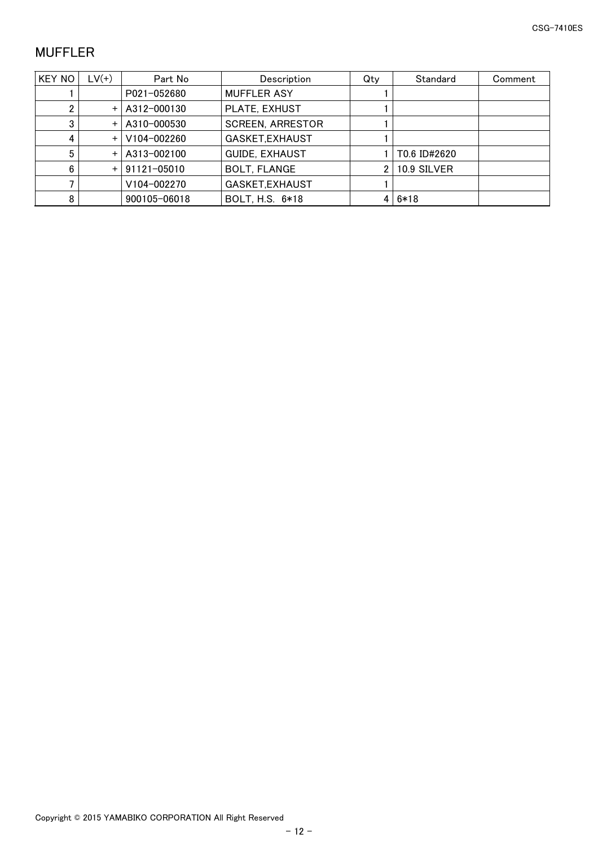# <span id="page-13-0"></span>MUFFLER

| KEY NO | $LV(+)$   | Part No         | Description             | Qty | Standard     | Comment |
|--------|-----------|-----------------|-------------------------|-----|--------------|---------|
|        |           | P021-052680     | <b>MUFFLER ASY</b>      |     |              |         |
|        | $\ddot{}$ | A312-000130     | PLATE, EXHUST           |     |              |         |
| 3      | $+$       | A310-000530     | <b>SCREEN, ARRESTOR</b> |     |              |         |
| 4      | $\ddot{}$ | $V104 - 002260$ | GASKET, EXHAUST         |     |              |         |
| 5      | $\ddot{}$ | A313-002100     | <b>GUIDE, EXHAUST</b>   |     | T0.6 ID#2620 |         |
| ĥ      | $\ddot{}$ | 91121-05010     | <b>BOLT, FLANGE</b>     | 2   | 10.9 SILVER  |         |
|        |           | V104-002270     | GASKET, EXHAUST         |     |              |         |
| 8      |           | 900105-06018    | BOLT, H.S. 6*18         |     | $6*18$       |         |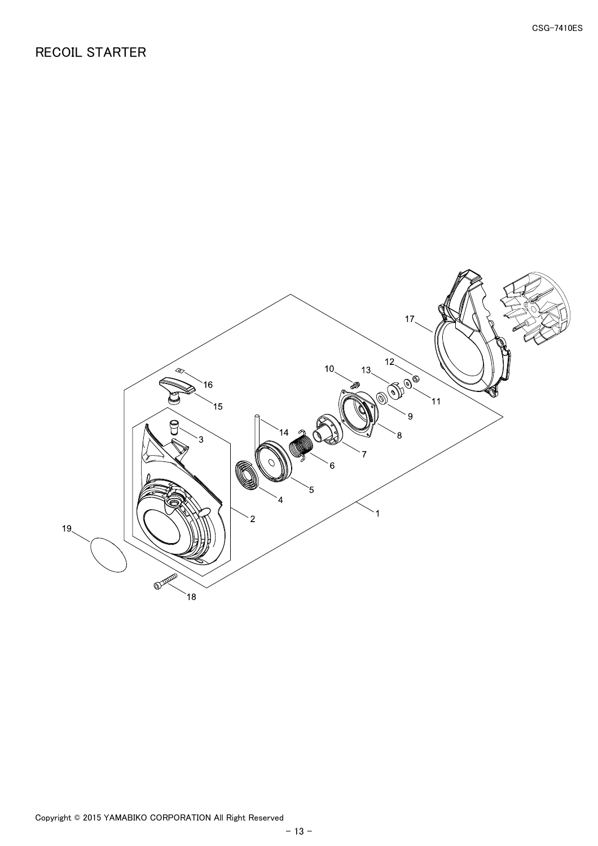## <span id="page-14-0"></span>RECOIL STARTER

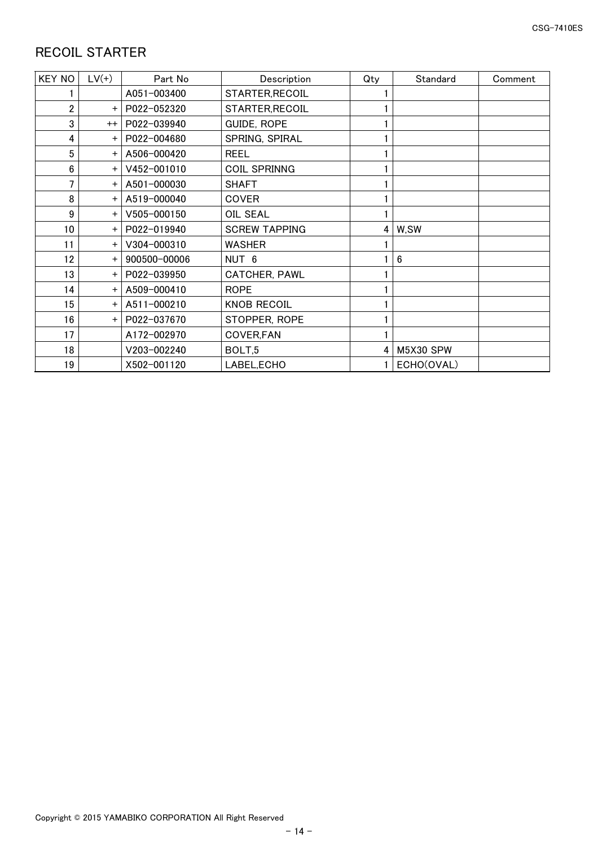# <span id="page-15-0"></span>RECOIL STARTER

| <b>KEY NO</b> | $LV(+)$   | Part No      | Description          | Qty | Standard   | Comment |
|---------------|-----------|--------------|----------------------|-----|------------|---------|
|               |           | A051-003400  | STARTER, RECOIL      |     |            |         |
| 2             | $+$       | P022-052320  | STARTER, RECOIL      |     |            |         |
| 3             | $^{++}$   | P022-039940  | <b>GUIDE, ROPE</b>   |     |            |         |
| 4             | $\ddot{}$ | P022-004680  | SPRING, SPIRAL       |     |            |         |
| 5             | $\ddot{}$ | A506-000420  | <b>REEL</b>          |     |            |         |
| 6             | $+$       | V452-001010  | <b>COIL SPRINNG</b>  |     |            |         |
| 7             | $+$       | A501-000030  | <b>SHAFT</b>         |     |            |         |
| 8             | $+$       | A519-000040  | <b>COVER</b>         |     |            |         |
| 9             | $\ddot{}$ | V505-000150  | OIL SEAL             |     |            |         |
| 10            | $+$       | P022-019940  | <b>SCREW TAPPING</b> | 4   | W,SW       |         |
| 11            | $+$       | V304-000310  | <b>WASHER</b>        |     |            |         |
| 12            | $+$       | 900500-00006 | NUT <sub>6</sub>     |     | 6          |         |
| 13            | $\ddot{}$ | P022-039950  | <b>CATCHER, PAWL</b> |     |            |         |
| 14            | $\ddot{}$ | A509-000410  | <b>ROPE</b>          |     |            |         |
| 15            | $+$       | A511-000210  | <b>KNOB RECOIL</b>   |     |            |         |
| 16            | $+$       | P022-037670  | STOPPER, ROPE        |     |            |         |
| 17            |           | A172-002970  | COVER, FAN           |     |            |         |
| 18            |           | V203-002240  | BOLT,5               | 4   | M5X30 SPW  |         |
| 19            |           | X502-001120  | LABEL, ECHO          |     | ECHO(OVAL) |         |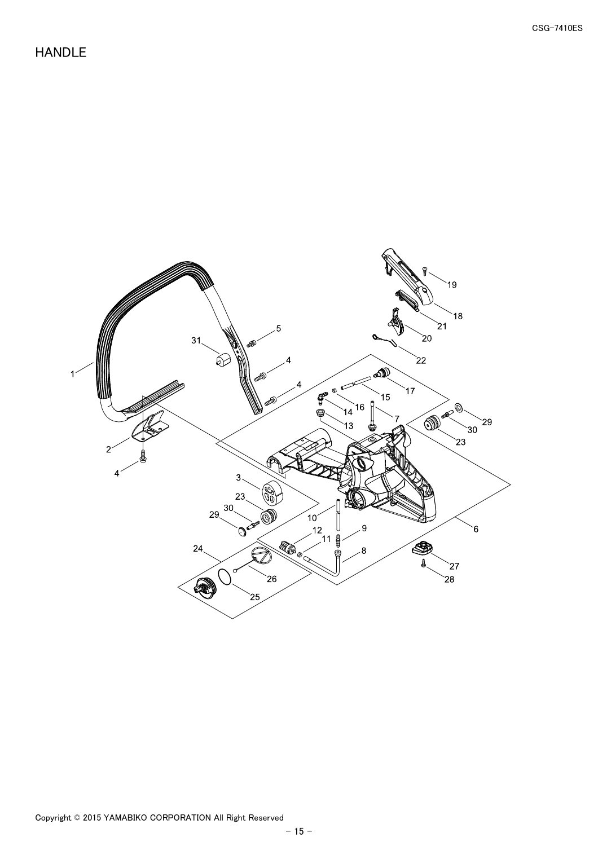### <span id="page-16-0"></span>HANDLE

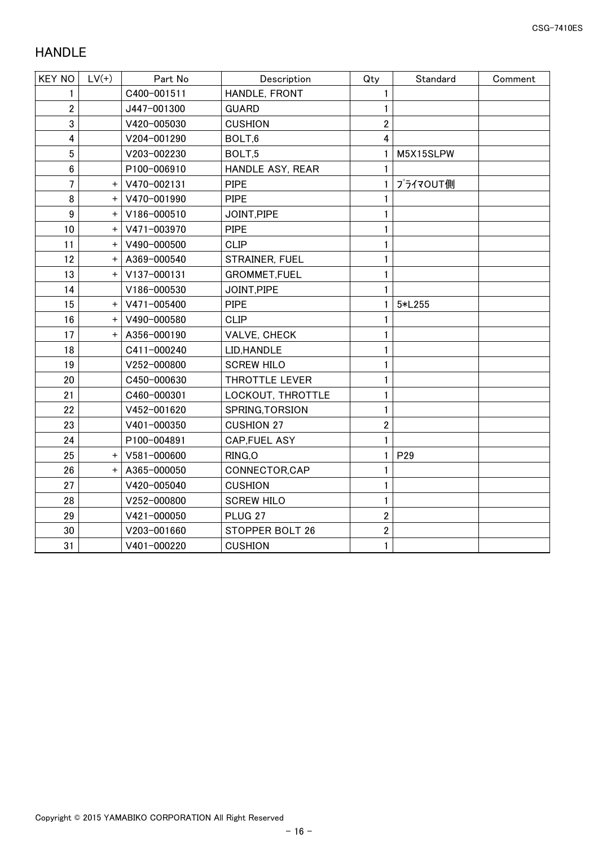# <span id="page-17-0"></span>HANDLE

| <b>KEY NO</b>    | $LV(+)$   | Part No     | Description        | Qty            | Standard  | Comment |
|------------------|-----------|-------------|--------------------|----------------|-----------|---------|
|                  |           | C400-001511 | HANDLE, FRONT      | 1              |           |         |
| 2                |           | J447-001300 | <b>GUARD</b>       | 1              |           |         |
| 3                |           | V420-005030 | <b>CUSHION</b>     | $\overline{2}$ |           |         |
| 4                |           | V204-001290 | BOLT,6             | 4              |           |         |
| 5                |           | V203-002230 | BOLT,5             | 1.             | M5X15SLPW |         |
| $6\phantom{1}$   |           | P100-006910 | HANDLE ASY, REAR   | 1              |           |         |
| 7                | $\ddot{}$ | V470-002131 | <b>PIPE</b>        | 1.             | プライマOUT側  |         |
| 8                | $+$       | V470-001990 | <b>PIPE</b>        | 1              |           |         |
| $\boldsymbol{9}$ | $\ddot{}$ | V186-000510 | JOINT, PIPE        | 1              |           |         |
| 10               | $+$       | V471-003970 | <b>PIPE</b>        | 1              |           |         |
| 11               | $\pm$     | V490-000500 | <b>CLIP</b>        | 1              |           |         |
| 12               | $\ddot{}$ | A369-000540 | STRAINER, FUEL     | 1              |           |         |
| 13               | $\ddot{}$ | V137-000131 | GROMMET, FUEL      | 1              |           |         |
| 14               |           | V186-000530 | JOINT, PIPE        | 1              |           |         |
| 15               | $\ddot{}$ | V471-005400 | <b>PIPE</b>        | 1              | 5*L255    |         |
| 16               | $+$       | V490-000580 | <b>CLIP</b>        | 1              |           |         |
| 17               | $+$       | A356-000190 | VALVE, CHECK       | 1              |           |         |
| 18               |           | C411-000240 | LID, HANDLE        | 1              |           |         |
| 19               |           | V252-000800 | <b>SCREW HILO</b>  | 1              |           |         |
| 20               |           | C450-000630 | THROTTLE LEVER     | 1              |           |         |
| 21               |           | C460-000301 | LOCKOUT, THROTTLE  | 1              |           |         |
| 22               |           | V452-001620 | SPRING, TORSION    | 1              |           |         |
| 23               |           | V401-000350 | <b>CUSHION 27</b>  | $\overline{2}$ |           |         |
| 24               |           | P100-004891 | CAP, FUEL ASY      | 1              |           |         |
| 25               | $\ddot{}$ | V581-000600 | RING, O            | 1              | P29       |         |
| 26               | $\ddot{}$ | A365-000050 | CONNECTOR, CAP     | 1              |           |         |
| 27               |           | V420-005040 | <b>CUSHION</b>     | 1              |           |         |
| 28               |           | V252-000800 | <b>SCREW HILO</b>  | 1              |           |         |
| 29               |           | V421-000050 | PLUG <sub>27</sub> | $\overline{2}$ |           |         |
| 30               |           | V203-001660 | STOPPER BOLT 26    | $\overline{2}$ |           |         |
| 31               |           | V401-000220 | <b>CUSHION</b>     | 1              |           |         |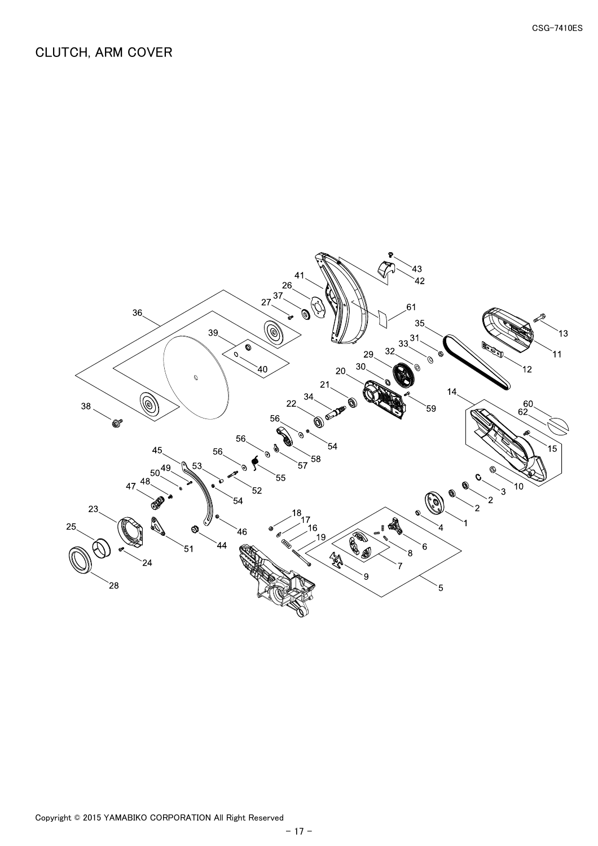<span id="page-18-0"></span>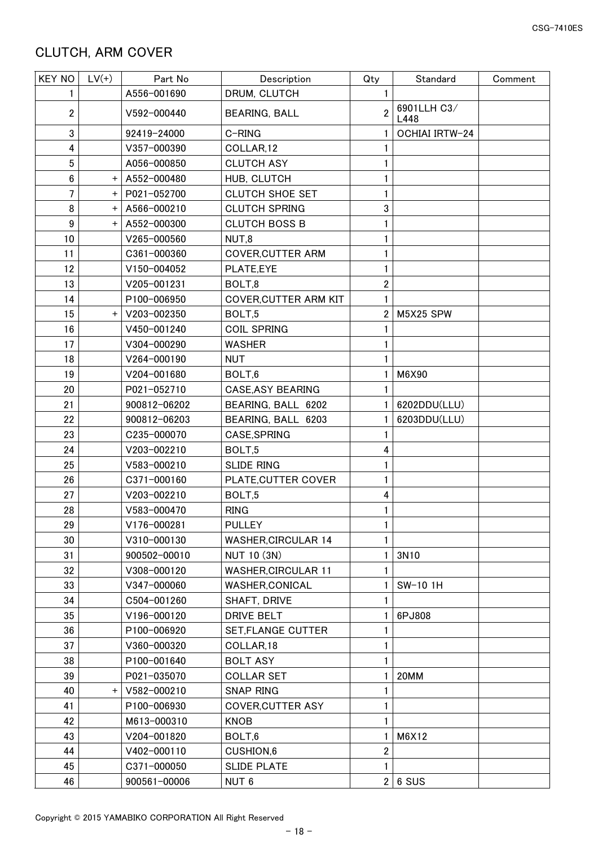<span id="page-19-0"></span>

| <b>KEY NO</b> | $LV(+)$   | Part No      | Description                  | Qty            | Standard              | Comment |
|---------------|-----------|--------------|------------------------------|----------------|-----------------------|---------|
| 1             |           | A556-001690  | DRUM, CLUTCH                 | 1              |                       |         |
| 2             |           | V592-000440  | <b>BEARING, BALL</b>         | $\overline{2}$ | 6901LLH C3/<br>L448   |         |
| 3             |           | 92419-24000  | C-RING                       | 1.             | <b>OCHIAI IRTW-24</b> |         |
| 4             |           | V357-000390  | COLLAR,12                    |                |                       |         |
| 5             |           | A056-000850  | <b>CLUTCH ASY</b>            |                |                       |         |
| 6             | $\pmb{+}$ | A552-000480  | HUB, CLUTCH                  |                |                       |         |
| 7             | $+$       | P021-052700  | <b>CLUTCH SHOE SET</b>       |                |                       |         |
| 8             | $\pmb{+}$ | A566-000210  | <b>CLUTCH SPRING</b>         | 3              |                       |         |
| 9             | $+$       | A552-000300  | <b>CLUTCH BOSS B</b>         |                |                       |         |
| 10            |           | V265-000560  | NUT,8                        |                |                       |         |
| 11            |           | C361-000360  | <b>COVER, CUTTER ARM</b>     |                |                       |         |
| 12            |           | V150-004052  | PLATE,EYE                    |                |                       |         |
| 13            |           | V205-001231  | BOLT,8                       | 2              |                       |         |
| 14            |           | P100-006950  | <b>COVER, CUTTER ARM KIT</b> |                |                       |         |
| 15            | $+$       | V203-002350  | BOLT,5                       | 2              | M5X25 SPW             |         |
| 16            |           | V450-001240  | <b>COIL SPRING</b>           |                |                       |         |
| 17            |           | V304-000290  | <b>WASHER</b>                |                |                       |         |
| 18            |           | V264-000190  | <b>NUT</b>                   |                |                       |         |
| 19            |           | V204-001680  | BOLT,6                       | 1              | M6X90                 |         |
| 20            |           | P021-052710  | <b>CASE, ASY BEARING</b>     |                |                       |         |
| 21            |           | 900812-06202 | BEARING, BALL 6202           |                | 6202DDU(LLU)          |         |
| 22            |           | 900812-06203 | BEARING, BALL 6203           |                | 6203DDU(LLU)          |         |
| 23            |           | C235-000070  | CASE, SPRING                 |                |                       |         |
| 24            |           | V203-002210  | BOLT,5                       | 4              |                       |         |
| 25            |           | V583-000210  | <b>SLIDE RING</b>            |                |                       |         |
| 26            |           | C371-000160  | PLATE, CUTTER COVER          |                |                       |         |
| 27            |           | V203-002210  | BOLT,5                       | 4              |                       |         |
| 28            |           | V583-000470  | <b>RING</b>                  |                |                       |         |
|               |           | V176-000281  | <b>PULLEY</b>                |                |                       |         |
| 29            |           |              |                              | 1              |                       |         |
| 30            |           | V310-000130  | <b>WASHER, CIRCULAR 14</b>   |                |                       |         |
| 31            |           | 900502-00010 | NUT 10 (3N)                  |                | 3N10                  |         |
| 32            |           | V308-000120  | <b>WASHER, CIRCULAR 11</b>   |                |                       |         |
| 33            |           | V347-000060  | WASHER, CONICAL              |                | SW-10 1H              |         |
| 34            |           | C504-001260  | SHAFT, DRIVE                 |                |                       |         |
| 35            |           | V196-000120  | DRIVE BELT                   |                | 6PJ808                |         |
| 36            |           | P100-006920  | SET, FLANGE CUTTER           |                |                       |         |
| 37            |           | V360-000320  | COLLAR, 18                   |                |                       |         |
| 38            |           | P100-001640  | <b>BOLT ASY</b>              |                |                       |         |
| 39            |           | P021-035070  | <b>COLLAR SET</b>            | 1              | 20MM                  |         |
| 40            | $^+$      | V582-000210  | <b>SNAP RING</b>             |                |                       |         |
| 41            |           | P100-006930  | <b>COVER, CUTTER ASY</b>     |                |                       |         |
| 42            |           | M613-000310  | <b>KNOB</b>                  | 1              |                       |         |
| 43            |           | V204-001820  | BOLT,6                       | 1              | M6X12                 |         |
| 44            |           | V402-000110  | CUSHION,6                    | $\overline{2}$ |                       |         |
| 45            |           | C371-000050  | <b>SLIDE PLATE</b>           | 1              |                       |         |
| 46            |           | 900561-00006 | NUT <sub>6</sub>             | $\overline{2}$ | 6 SUS                 |         |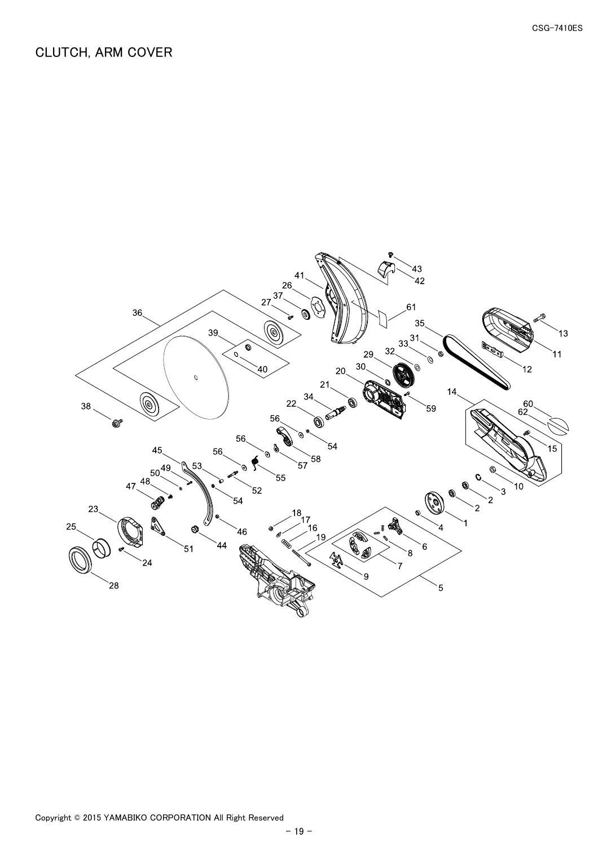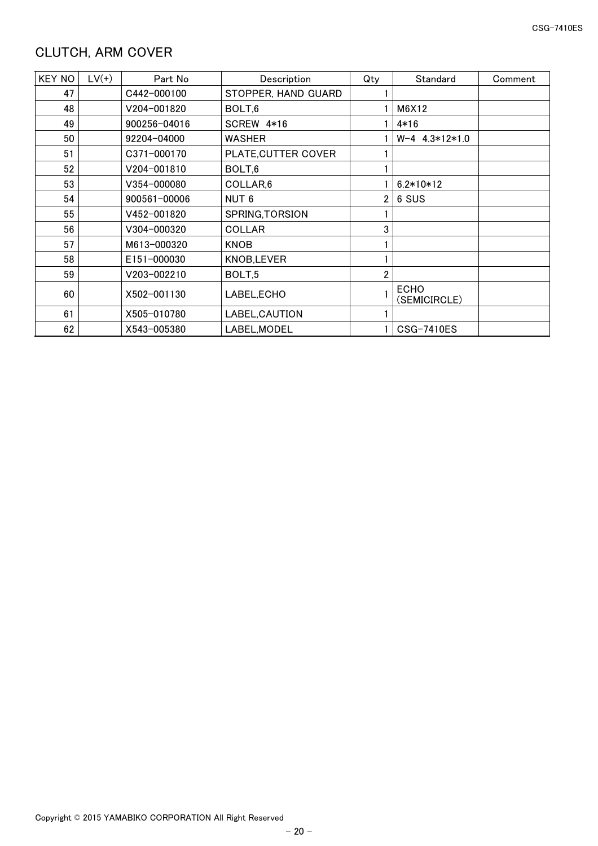<span id="page-21-0"></span>

| <b>KEY NO</b> | $LV(+)$ | Part No      | Description          | Qty            | Standard                    | Comment |
|---------------|---------|--------------|----------------------|----------------|-----------------------------|---------|
| 47            |         | C442-000100  | STOPPER, HAND GUARD  |                |                             |         |
| 48            |         | V204-001820  | BOLT,6               |                | M6X12                       |         |
| 49            |         | 900256-04016 | SCREW 4*16           |                | 4*16                        |         |
| 50            |         | 92204-04000  | WASHER               |                | $W-4$ 4.3 $*12*1.0$         |         |
| 51            |         | C371-000170  | PLATE, CUTTER COVER  |                |                             |         |
| 52            |         | V204-001810  | BOLT,6               |                |                             |         |
| 53            |         | V354-000080  | COLLAR <sub>,6</sub> |                | $6.2*10*12$                 |         |
| 54            |         | 900561-00006 | NUT <sub>6</sub>     |                | 6 SUS                       |         |
| 55            |         | V452-001820  | SPRING, TORSION      |                |                             |         |
| 56            |         | V304-000320  | <b>COLLAR</b>        | 3              |                             |         |
| 57            |         | M613-000320  | <b>KNOB</b>          |                |                             |         |
| 58            |         | E151-000030  | KNOB, LEVER          |                |                             |         |
| 59            |         | V203-002210  | BOLT <sub>.5</sub>   | $\overline{2}$ |                             |         |
| 60            |         | X502-001130  | LABEL, ECHO          |                | <b>ECHO</b><br>(SEMICIRCLE) |         |
| 61            |         | X505-010780  | LABEL, CAUTION       |                |                             |         |
| 62            |         | X543-005380  | LABEL, MODEL         |                | CSG-7410ES                  |         |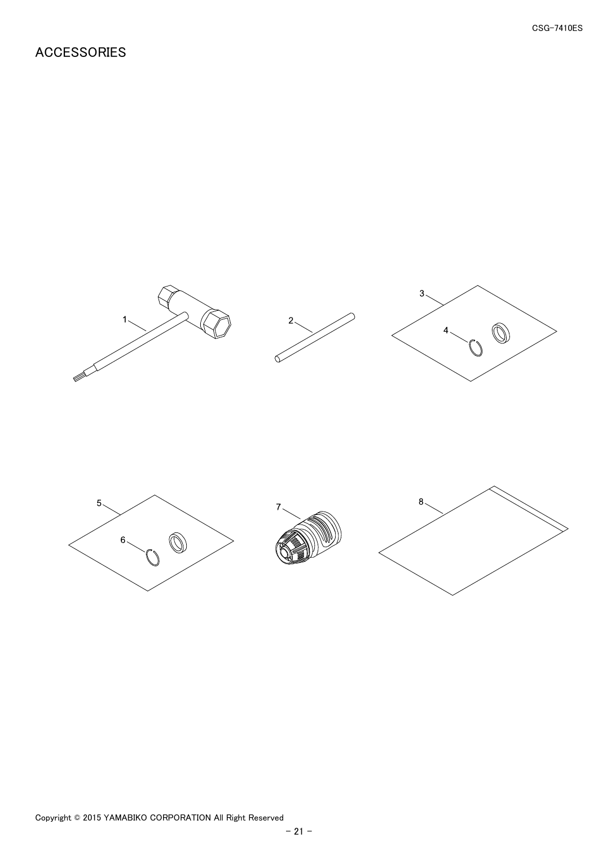## <span id="page-22-0"></span>ACCESSORIES

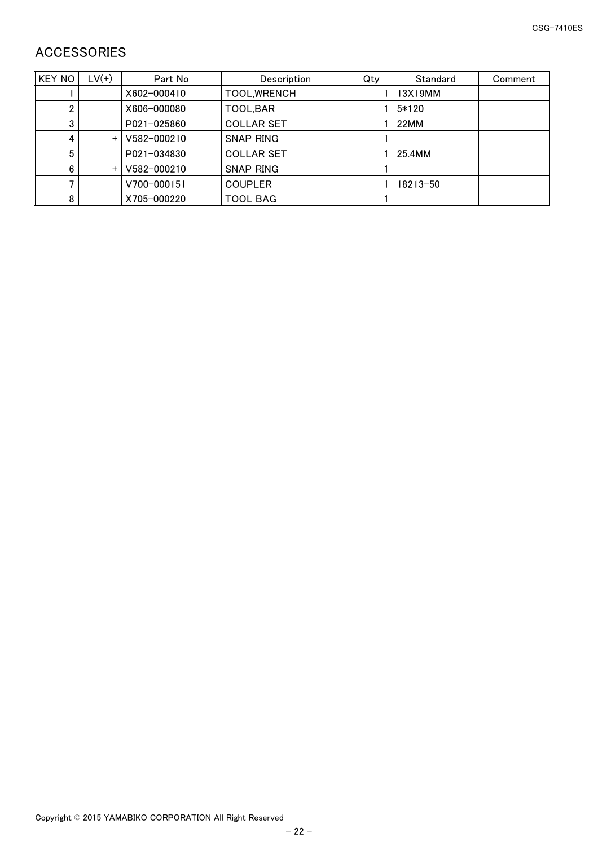# <span id="page-23-0"></span>ACCESSORIES

| KEY NO | $LV(+)$ | Part No     | Description       | Qty | Standard | Comment |
|--------|---------|-------------|-------------------|-----|----------|---------|
|        |         | X602-000410 | TOOL, WRENCH      |     | 13X19MM  |         |
|        |         | X606-000080 | TOOL, BAR         |     | $5*120$  |         |
| 3      |         | P021-025860 | <b>COLLAR SET</b> |     | 22MM     |         |
|        | $+$     | V582-000210 | SNAP RING         |     |          |         |
|        |         | P021-034830 | <b>COLLAR SET</b> |     | 25.4MM   |         |
|        | $\pm$   | V582-000210 | SNAP RING         |     |          |         |
|        |         | V700-000151 | <b>COUPLER</b>    |     | 18213-50 |         |
| 8      |         | X705-000220 | <b>TOOL BAG</b>   |     |          |         |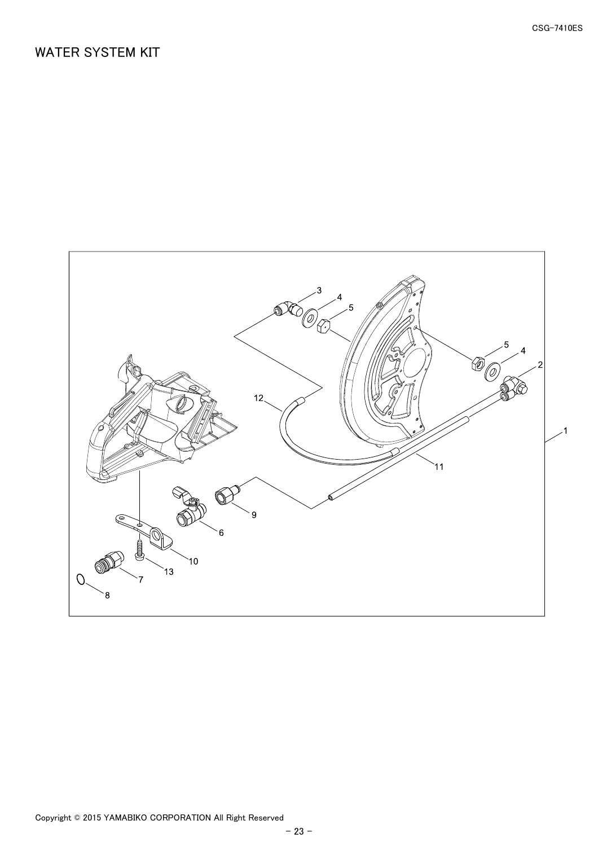## <span id="page-24-0"></span>WATER SYSTEM KIT

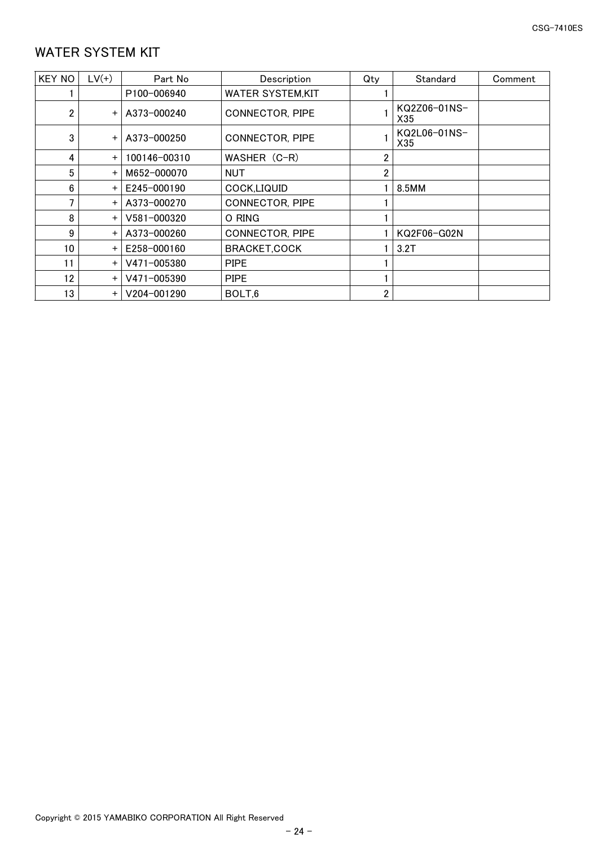# <span id="page-25-0"></span>WATER SYSTEM KIT

| <b>KEY NO</b>   | $LV(+)$   | Part No      | Description             | Qty | Standard            | Comment |
|-----------------|-----------|--------------|-------------------------|-----|---------------------|---------|
|                 |           | P100-006940  | <b>WATER SYSTEM,KIT</b> |     |                     |         |
| $\overline{2}$  | $\ddot{}$ | A373-000240  | <b>CONNECTOR, PIPE</b>  |     | KQ2Z06-01NS-<br>X35 |         |
| 3               | $\ddot{}$ | A373-000250  | <b>CONNECTOR, PIPE</b>  |     | KQ2L06-01NS-<br>X35 |         |
| 4               | $\ddot{}$ | 100146-00310 | WASHER (C-R)            | 2   |                     |         |
| 5               | $\ddot{}$ | M652-000070  | NUT                     | 2   |                     |         |
| 6               | $\ddot{}$ | E245-000190  | COCK,LIQUID             |     | 8.5MM               |         |
| 7               | $\ddot{}$ | A373-000270  | <b>CONNECTOR, PIPE</b>  |     |                     |         |
| 8               | $\ddot{}$ | V581-000320  | O RING                  |     |                     |         |
| 9               | $\ddot{}$ | A373-000260  | <b>CONNECTOR, PIPE</b>  |     | KQ2F06-G02N         |         |
| 10 <sup>°</sup> | $\ddot{}$ | E258-000160  | <b>BRACKET,COCK</b>     |     | 3.2T                |         |
| 11              | $+$       | V471-005380  | <b>PIPE</b>             |     |                     |         |
| 12              | $\ddot{}$ | V471-005390  | <b>PIPE</b>             |     |                     |         |
| 13              | $\ddot{}$ | V204-001290  | BOLT,6                  | 2   |                     |         |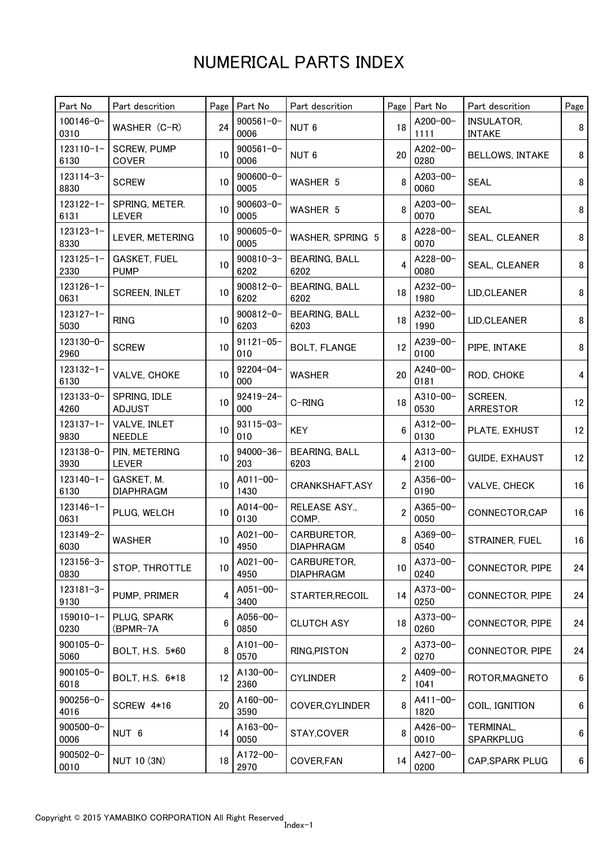| Part No                | Part descrition                    | Page | Part No                | Part descrition                 | Page           | Part No          | Part descrition                    | Page             |
|------------------------|------------------------------------|------|------------------------|---------------------------------|----------------|------------------|------------------------------------|------------------|
| $100146 - 0 -$<br>0310 | WASHER (C-R)                       | 24   | $900561 - 0 -$<br>0006 | NUT <sub>6</sub>                | 18             | A200-00-<br>1111 | <b>INSULATOR,</b><br><b>INTAKE</b> | 8                |
| $123110 - 1 -$<br>6130 | <b>SCREW, PUMP</b><br><b>COVER</b> | 10   | $900561 - 0 -$<br>0006 | NUT <sub>6</sub>                | 20             | A202-00-<br>0280 | <b>BELLOWS, INTAKE</b>             | 8                |
| $123114 - 3 -$<br>8830 | <b>SCREW</b>                       | 10   | $900600 - 0 -$<br>0005 | WASHER 5                        | 8              | A203-00-<br>0060 | <b>SEAL</b>                        | 8                |
| $123122 - 1 -$<br>6131 | SPRING, METER.<br><b>LEVER</b>     | 10   | $900603 - 0 -$<br>0005 | WASHER 5                        | 8              |                  | <b>SEAL</b>                        | 8                |
| $123123 - 1 -$<br>8330 | LEVER, METERING                    | 10   | $900605 - 0 -$<br>0005 | WASHER, SPRING 5                | 8              | A228-00-<br>0070 | SEAL, CLEANER                      | 8                |
| $123125 - 1 -$<br>2330 | <b>GASKET, FUEL</b><br><b>PUMP</b> | 10   | $900810 - 3 -$<br>6202 | <b>BEARING, BALL</b><br>6202    |                | A228-00-<br>0080 | SEAL, CLEANER                      | 8                |
| $123126 - 1 -$<br>0631 | <b>SCREEN, INLET</b>               | 10   | $900812 - 0 -$<br>6202 | <b>BEARING, BALL</b><br>6202    | 18             | A232-00-<br>1980 | LID, CLEANER                       | 8                |
| $123127 - 1 -$<br>5030 | <b>RING</b>                        | 10   | $900812 - 0 -$<br>6203 | <b>BEARING, BALL</b><br>6203    | 18             | A232-00-<br>1990 | LID, CLEANER                       | 8                |
| 123130-0-<br>2960      | <b>SCREW</b>                       | 10   | $91121 - 05 -$<br>010  | <b>BOLT, FLANGE</b>             | 12             | A239-00-<br>0100 | PIPE, INTAKE                       | 8                |
| $123132 - 1 -$<br>6130 | VALVE, CHOKE                       | 10   | $92204 - 04 -$<br>000  | <b>WASHER</b>                   | 20             | A240-00-<br>0181 | ROD, CHOKE                         | 4                |
| 123133-0-<br>4260      | SPRING, IDLE<br><b>ADJUST</b>      | 10   | $92419 - 24 -$<br>000  | C-RING                          | 18             | A310-00-<br>0530 | SCREEN,<br><b>ARRESTOR</b>         | 12               |
| $123137 - 1 -$<br>9830 | VALVE, INLET<br><b>NEEDLE</b>      | 10   | $93115 - 03 -$<br>010  | <b>KEY</b>                      | 6              | A312-00-<br>0130 | PLATE, EXHUST                      | 12 <sub>2</sub>  |
| 123138-0-<br>3930      | PIN, METERING<br><b>LEVER</b>      | 10   | 94000-36-<br>203       | <b>BEARING, BALL</b><br>6203    | 4              | A313-00-<br>2100 | <b>GUIDE, EXHAUST</b>              | 12               |
| $123140 - 1 -$<br>6130 | GASKET, M.<br><b>DIAPHRAGM</b>     | 10   | $A011 - 00 -$<br>1430  | CRANKSHAFT, ASY                 | $\overline{2}$ | A356-00-<br>0190 | VALVE, CHECK                       | 16               |
| $123146 - 1 -$<br>0631 | PLUG, WELCH                        | 10   | $A014 - 00 -$<br>0130  | RELEASE ASY.,<br>COMP.          | $\overline{2}$ | A365-00-<br>0050 | CONNECTOR, CAP                     | 16               |
| 123149-2-<br>6030      | <b>WASHER</b>                      | 10   | $A021 - 00 -$<br>4950  | CARBURETOR,<br><b>DIAPHRAGM</b> | 8              | A369-00-<br>0540 | STRAINER, FUEL                     | 16               |
| 123156-3-<br>0830      | STOP, THROTTLE                     | 10   | $A021 - 00 -$<br>4950  | CARBURETOR,<br><b>DIAPHRAGM</b> | 10             | A373-00-<br>0240 | CONNECTOR, PIPE                    | 24               |
| $123181 - 3 -$<br>9130 | PUMP, PRIMER                       | 4    | A051-00-<br>3400       | STARTER, RECOIL                 | 14             | A373-00-<br>0250 | CONNECTOR, PIPE                    | 24               |
| $159010 - 1 -$<br>0230 | PLUG, SPARK<br>(BPMR-7A            | 6    | A056-00-<br>0850       | <b>CLUTCH ASY</b>               | 18             | A373-00-<br>0260 | <b>CONNECTOR, PIPE</b>             | 24               |
| $900105 - 0$<br>5060   | BOLT, H.S. 5*60                    | 8    | $A101 - 00 -$<br>0570  | RING, PISTON                    | $\overline{2}$ | A373-00-<br>0270 | CONNECTOR, PIPE                    | 24               |
| $900105 - 0 -$<br>6018 | BOLT, H.S. 6*18                    | 12   | A130-00-<br>2360       | <b>CYLINDER</b>                 | $\overline{2}$ | A409-00-<br>1041 | ROTOR, MAGNETO                     | $\boldsymbol{6}$ |
| $900256 - 0$<br>4016   | SCREW 4*16                         | 20   | $A160 - 00 -$<br>3590  | COVER, CYLINDER                 | 8              | A411-00-<br>1820 | COIL, IGNITION                     | 6                |
| $900500 - 0 -$<br>0006 | NUT 6                              | 14   | A163-00-<br>0050       | STAY, COVER                     | 8              | A426-00-<br>0010 | TERMINAL,<br>SPARKPLUG             | 6                |
| $900502 - 0 -$<br>0010 | NUT 10 (3N)                        | 18   | A172-00-<br>2970       | COVER, FAN                      | 14             | A427-00-<br>0200 | CAP, SPARK PLUG                    | 6                |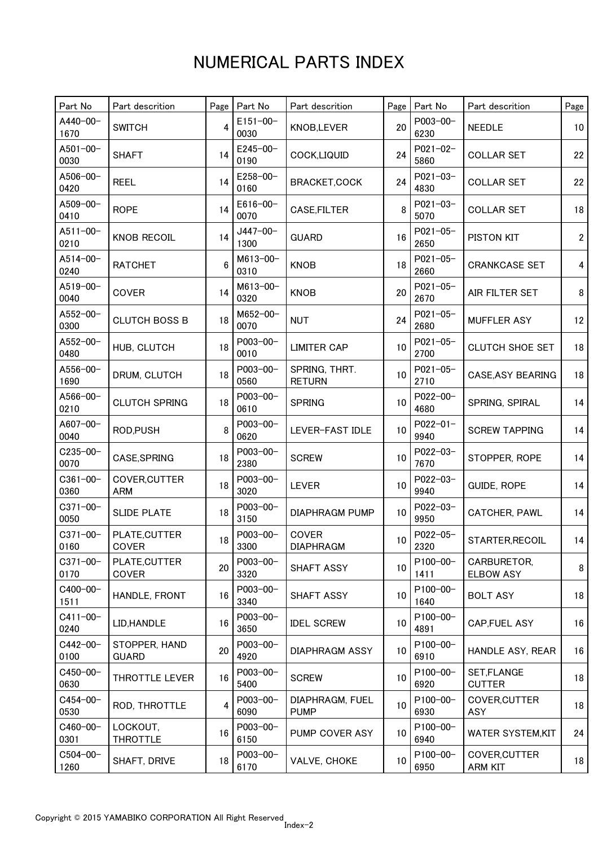| Part No               | Part descrition               | Page            | Part No               | Part descrition                | Page            | Part No               | Part descrition                 | Page            |
|-----------------------|-------------------------------|-----------------|-----------------------|--------------------------------|-----------------|-----------------------|---------------------------------|-----------------|
| A440-00-<br>1670      | <b>SWITCH</b>                 | 4               | $E151 - 00 -$<br>0030 | KNOB, LEVER                    | 20              | P003-00-<br>6230      | <b>NEEDLE</b>                   | 10 <sup>°</sup> |
| A501-00-<br>0030      | <b>SHAFT</b>                  | 14              | $E245 - 00 -$<br>0190 | COCK,LIQUID                    | 24              | P021-02-<br>5860      | <b>COLLAR SET</b>               | 22              |
| A506-00-<br>0420      | <b>REEL</b>                   | 14              | $E258 - 00 -$<br>0160 | BRACKET, COCK                  | 24              | P021-03-<br>4830      | <b>COLLAR SET</b>               | 22              |
| A509-00-<br>0410      | <b>ROPE</b>                   | 14              | $E616 - 00 -$<br>0070 | CASE, FILTER                   | 8               | P021-03-<br>5070      | <b>COLLAR SET</b>               | 18              |
| A511-00-<br>0210      | <b>KNOB RECOIL</b>            | 14              | $J447 - 00 -$<br>1300 | <b>GUARD</b>                   | 16              | $P021 - 05 -$<br>2650 | PISTON KIT                      | $\overline{2}$  |
| A514-00-<br>0240      | <b>RATCHET</b>                |                 | M613-00-<br>0310      | <b>KNOB</b>                    | 18              | $P021 - 05 -$<br>2660 | <b>CRANKCASE SET</b>            | 4               |
| A519-00-<br>0040      | COVER                         | 14              | M613-00-<br>0320      | <b>KNOB</b>                    | 20              | $P021 - 05 -$<br>2670 | AIR FILTER SET                  | 8               |
| A552-00-<br>0300      | <b>CLUTCH BOSS B</b>          | 18              | M652-00-<br>0070      | <b>NUT</b>                     | 24              | $P021 - 05 -$<br>2680 | <b>MUFFLER ASY</b>              | 12              |
| A552-00-<br>0480      | HUB, CLUTCH                   | 18              | P003-00-<br>0010      | <b>LIMITER CAP</b>             | 10              | $P021 - 05 -$<br>2700 | <b>CLUTCH SHOE SET</b>          | 18              |
| A556-00-<br>1690      | DRUM, CLUTCH                  | 18              | P003-00-<br>0560      | SPRING, THRT.<br><b>RETURN</b> | 10              | $P021 - 05 -$<br>2710 | <b>CASE, ASY BEARING</b>        | 18              |
| A566-00-<br>0210      | <b>CLUTCH SPRING</b>          | 18              | P003-00-<br>0610      | <b>SPRING</b>                  | 10              | P022-00-<br>4680      | SPRING, SPIRAL                  | 14              |
| A607-00-<br>0040      | ROD, PUSH                     | 8               | P003-00-<br>0620      | LEVER-FAST IDLE                | 10              | $P022 - 01 -$<br>9940 | <b>SCREW TAPPING</b>            | 14              |
| $C235 - 00 -$<br>0070 | CASE, SPRING                  | 18              | P003-00-<br>2380      | <b>SCREW</b>                   | 10              | P022-03-<br>7670      | STOPPER, ROPE                   | 14              |
| $C361 - 00 -$<br>0360 | COVER, CUTTER<br><b>ARM</b>   | 18              | P003-00-<br>3020      | <b>LEVER</b>                   | 10              | P022-03-<br>9940      | <b>GUIDE, ROPE</b>              | 14              |
| $C371 - 00 -$<br>0050 | <b>SLIDE PLATE</b>            | 18              | P003-00-<br>3150      | <b>DIAPHRAGM PUMP</b>          | 10              | P022-03-<br>9950      | CATCHER, PAWL                   | 14              |
| $C371 - 00 -$<br>0160 | PLATE, CUTTER<br>COVER        | 18 <sup>1</sup> | P003-00-<br>3300      | COVER<br><b>DIAPHRAGM</b>      | 10 <sup>1</sup> | P022-05-<br>2320      | STARTER, RECOIL                 | 14              |
| $C371 - 00 -$<br>0170 | PLATE, CUTTER<br>COVER        | 20              | P003-00-<br>3320      | SHAFT ASSY                     | 10              | P100-00-<br>1411      | CARBURETOR,<br><b>ELBOW ASY</b> | 8               |
| C400-00-<br>1511      | HANDLE, FRONT                 | 16              | P003-00-<br>3340      | SHAFT ASSY                     | 10              | P100-00-<br>1640      | <b>BOLT ASY</b>                 | 18              |
| $C411 - 00 -$<br>0240 | LID, HANDLE                   | 16              | P003-00-<br>3650      | <b>IDEL SCREW</b>              | 10              | P100-00-<br>4891      | CAP, FUEL ASY                   | 16              |
| $C442 - 00 -$<br>0100 | STOPPER, HAND<br><b>GUARD</b> | 20              | P003-00-<br>4920      | <b>DIAPHRAGM ASSY</b>          | 10              | P100-00-<br>6910      | HANDLE ASY, REAR                | 16              |
| C450-00-<br>0630      | THROTTLE LEVER                | 16              | P003-00-<br>5400      | <b>SCREW</b>                   | 10              | P100-00-<br>6920      | SET, FLANGE<br><b>CUTTER</b>    | 18              |
| C454-00-<br>0530      | ROD, THROTTLE                 | 4               | P003-00-<br>6090      | DIAPHRAGM, FUEL<br><b>PUMP</b> | 10              | P100-00-<br>6930      | COVER, CUTTER<br><b>ASY</b>     | 18              |
| C460-00-<br>0301      | LOCKOUT,<br><b>THROTTLE</b>   | 16              | P003-00-<br>6150      | PUMP COVER ASY                 | 10              | P100-00-<br>6940      | <b>WATER SYSTEM,KIT</b>         | 24              |
| $C504 - 00 -$<br>1260 | SHAFT, DRIVE                  | 18              | P003-00-<br>6170      | VALVE, CHOKE                   | 10              | P100-00-<br>6950      | COVER, CUTTER<br><b>ARM KIT</b> | 18              |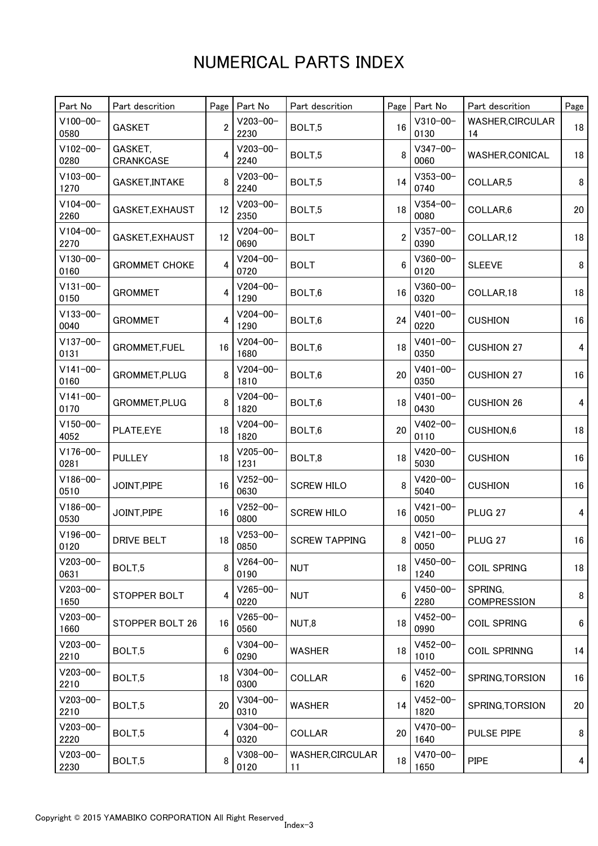| Part No               | Part descrition      | Page           | Part No               | Part descrition               | Page           | Part No               | Part descrition               | Page                    |
|-----------------------|----------------------|----------------|-----------------------|-------------------------------|----------------|-----------------------|-------------------------------|-------------------------|
| $V100 - 00 -$<br>0580 | <b>GASKET</b>        | $\overline{2}$ | $V203 - 00 -$<br>2230 | BOLT,5                        | 16             | $V310 - 00 -$<br>0130 | <b>WASHER, CIRCULAR</b><br>14 | 18                      |
| $V102 - 00 -$<br>0280 | GASKET,<br>CRANKCASE | 4              | $V203 - 00 -$<br>2240 | BOLT,5                        | 8              | $V347 - 00 -$<br>0060 | WASHER,CONICAL                | 18                      |
| $V103 - 00 -$<br>1270 | GASKET, INTAKE       | 8              | $V203 - 00 -$<br>2240 | BOLT,5                        | 14             | $V353 - 00 -$<br>0740 | COLLAR,5                      | 8                       |
| $V104 - 00 -$<br>2260 | GASKET, EXHAUST      | 12             | $V203 - 00 -$<br>2350 | BOLT,5                        | 18             | $V354 - 00 -$<br>0080 | COLLAR,6                      | 20                      |
| $V104 - 00 -$<br>2270 | GASKET, EXHAUST      | 12             | $V204 - 00 -$<br>0690 | <b>BOLT</b>                   | $\overline{2}$ | $V357 - 00 -$<br>0390 | COLLAR,12                     | 18                      |
| $V130 - 00 -$<br>0160 | <b>GROMMET CHOKE</b> |                | $V204 - 00 -$<br>0720 | <b>BOLT</b>                   | 6              | $V360 - 00 -$<br>0120 | <b>SLEEVE</b>                 | 8                       |
| $V131 - 00 -$<br>0150 | <b>GROMMET</b>       | 4              | $V204 - 00 -$<br>1290 | BOLT,6                        | 16             | $V360 - 00 -$<br>0320 | COLLAR,18                     | 18                      |
| $V133 - 00 -$<br>0040 | <b>GROMMET</b>       | 4              | $V204 - 00 -$<br>1290 | BOLT,6                        | 24             | $V401 - 00 -$<br>0220 | <b>CUSHION</b>                | 16                      |
| $V137 - 00 -$<br>0131 | GROMMET, FUEL        | 16             | $V204 - 00 -$<br>1680 | BOLT,6                        | 18             | $V401 - 00 -$<br>0350 | <b>CUSHION 27</b>             | $\overline{\mathbf{4}}$ |
| $V141 - 00 -$<br>0160 | GROMMET, PLUG        | 8              | $V204 - 00 -$<br>1810 | BOLT,6                        | 20             | $V401 - 00 -$<br>0350 | <b>CUSHION 27</b>             | 16                      |
| $V141 - 00 -$<br>0170 | GROMMET, PLUG        | 8              | $V204 - 00 -$<br>1820 | BOLT,6                        | 18             | $V401 - 00 -$<br>0430 | <b>CUSHION 26</b>             | 4                       |
| $V150 - 00 -$<br>4052 | PLATE,EYE            | 18             | $V204 - 00 -$<br>1820 | BOLT,6                        | 20             | $V402 - 00 -$<br>0110 | CUSHION,6                     | 18                      |
| $V176 - 00 -$<br>0281 | <b>PULLEY</b>        | 18             | $V205 - 00 -$<br>1231 | BOLT,8                        | 18             | $V420 - 00 -$<br>5030 | <b>CUSHION</b>                | 16                      |
| $V186 - 00 -$<br>0510 | JOINT, PIPE          | 16             | $V252 - 00 -$<br>0630 | <b>SCREW HILO</b>             | 8              | $V420 - 00 -$<br>5040 | <b>CUSHION</b>                | 16                      |
| $V186 - 00 -$<br>0530 | JOINT, PIPE          | 16             | $V252 - 00 -$<br>0800 | <b>SCREW HILO</b>             | 16             | $V421 - 00 -$<br>0050 | PLUG <sub>27</sub>            | 4                       |
| $V196 - 00 -$<br>0120 | <b>DRIVE BELT</b>    | 18 I           | $V253 - 00 -$<br>0850 | <b>SCREW TAPPING</b>          | 8              | $V421 - 00 -$<br>0050 | PLUG <sub>27</sub>            | 16                      |
| $V203 - 00 -$<br>0631 | BOLT <sub>.5</sub>   | 8              | $V264 - 00 -$<br>0190 | <b>NUT</b>                    | 18             | $V450 - 00 -$<br>1240 | <b>COIL SPRING</b>            | 18                      |
| $V203 - 00 -$<br>1650 | STOPPER BOLT         | 4              | $V265 - 00 -$<br>0220 | <b>NUT</b>                    | 6              | $V450 - 00 -$<br>2280 | SPRING.<br><b>COMPRESSION</b> | 8                       |
| $V203 - 00 -$<br>1660 | STOPPER BOLT 26      | 16             | $V265 - 00 -$<br>0560 | NUT,8                         | 18             | $V452 - 00 -$<br>0990 | <b>COIL SPRING</b>            | 6                       |
| $V203 - 00 -$<br>2210 | BOLT,5               | 6              | $V304 - 00 -$<br>0290 | <b>WASHER</b>                 | 18             | $V452 - 00 -$<br>1010 | <b>COIL SPRINNG</b>           | 14                      |
| $V203 - 00 -$<br>2210 | BOLT,5               | 18             | $V304 - 00 -$<br>0300 | <b>COLLAR</b>                 | 6              | $V452 - 00 -$<br>1620 | SPRING, TORSION               | 16                      |
| $V203 - 00 -$<br>2210 | BOLT,5               | 20             | $V304 - 00 -$<br>0310 | <b>WASHER</b>                 | 14             | $V452 - 00 -$<br>1820 | SPRING, TORSION               | 20                      |
| $V203 - 00 -$<br>2220 | BOLT,5               | 4              | $V304 - 00 -$<br>0320 | <b>COLLAR</b>                 | 20             | $V470 - 00 -$<br>1640 | <b>PULSE PIPE</b>             | 8                       |
| $V203 - 00 -$<br>2230 | BOLT,5               | 8              | $V308 - 00 -$<br>0120 | <b>WASHER, CIRCULAR</b><br>11 | 18             | $V470 - 00 -$<br>1650 | <b>PIPE</b>                   | 4                       |